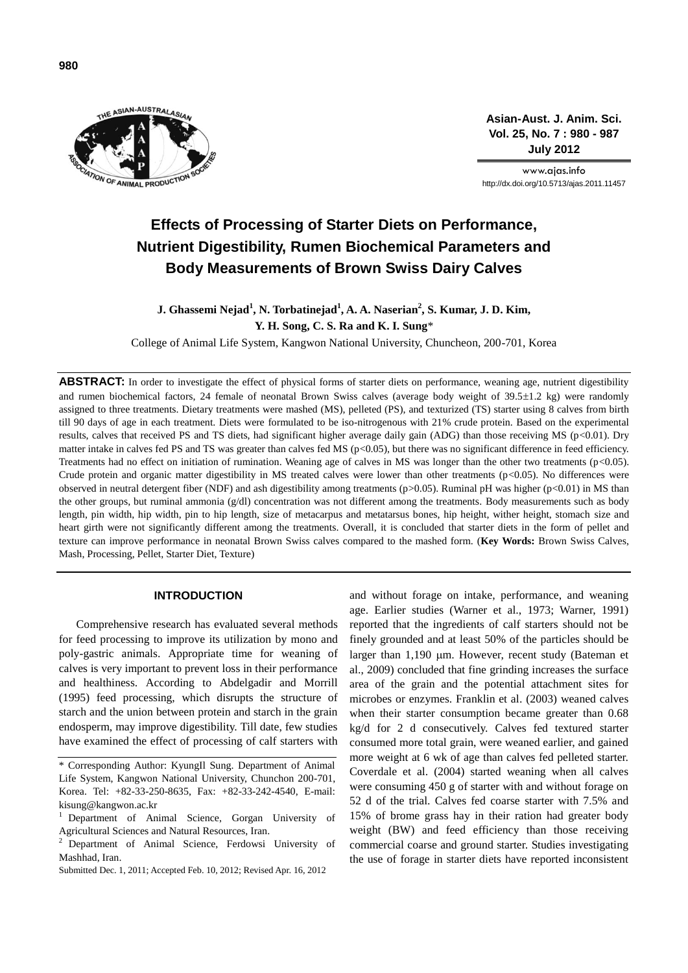

**Asian-Aust. J. Anim. Sci. Vol. 25, No. 7 : 980 - 987 July 2012**

www.ajas.info http://dx.doi.org/10.5713/ajas.2011.11457

# **Effects of Processing of Starter Diets on Performance, Nutrient Digestibility, Rumen Biochemical Parameters and Body Measurements of Brown Swiss Dairy Calves**

**J.** Ghassemi Nejad<sup>1</sup>, N. Torbatinejad<sup>1</sup>, A. A. Naserian<sup>2</sup>, S. Kumar, J. D. Kim, **Y. H. Song, C. S. Ra and K. I. Sung**\*

College of Animal Life System, Kangwon National University, Chuncheon, 200-701, Korea

ABSTRACT: In order to investigate the effect of physical forms of starter diets on performance, weaning age, nutrient digestibility and rumen biochemical factors, 24 female of neonatal Brown Swiss calves (average body weight of  $39.5\pm1.2$  kg) were randomly assigned to three treatments. Dietary treatments were mashed (MS), pelleted (PS), and texturized (TS) starter using 8 calves from birth till 90 days of age in each treatment. Diets were formulated to be iso-nitrogenous with 21% crude protein. Based on the experimental results, calves that received PS and TS diets, had significant higher average daily gain (ADG) than those receiving MS (p<0.01). Dry matter intake in calves fed PS and TS was greater than calves fed MS ( $p<0.05$ ), but there was no significant difference in feed efficiency. Treatments had no effect on initiation of rumination. Weaning age of calves in MS was longer than the other two treatments (p<0.05). Crude protein and organic matter digestibility in MS treated calves were lower than other treatments  $(p<0.05)$ . No differences were observed in neutral detergent fiber (NDF) and ash digestibility among treatments (p>0.05). Ruminal pH was higher (p<0.01) in MS than the other groups, but ruminal ammonia (g/dl) concentration was not different among the treatments. Body measurements such as body length, pin width, hip width, pin to hip length, size of metacarpus and metatarsus bones, hip height, wither height, stomach size and heart girth were not significantly different among the treatments. Overall, it is concluded that starter diets in the form of pellet and texture can improve performance in neonatal Brown Swiss calves compared to the mashed form. (**Key Words:** Brown Swiss Calves, Mash, Processing, Pellet, Starter Diet, Texture)

#### **INTRODUCTION**

Comprehensive research has evaluated several methods for feed processing to improve its utilization by mono and poly-gastric animals. Appropriate time for weaning of calves is very important to prevent loss in their performance and healthiness. According to Abdelgadir and Morrill (1995) feed processing, which disrupts the structure of starch and the union between protein and starch in the grain endosperm, may improve digestibility. Till date, few studies have examined the effect of processing of calf starters with

and without forage on intake, performance, and weaning age. Earlier studies (Warner et al., 1973; Warner, 1991) reported that the ingredients of calf starters should not be finely grounded and at least 50% of the particles should be larger than 1,190 µm. However, recent study (Bateman et al., 2009) concluded that fine grinding increases the surface area of the grain and the potential attachment sites for microbes or enzymes. Franklin et al. (2003) weaned calves when their starter consumption became greater than 0.68 kg/d for 2 d consecutively. Calves fed textured starter consumed more total grain, were weaned earlier, and gained more weight at 6 wk of age than calves fed pelleted starter. Coverdale et al. (2004) started weaning when all calves were consuming 450 g of starter with and without forage on 52 d of the trial. Calves fed coarse starter with 7.5% and 15% of brome grass hay in their ration had greater body weight (BW) and feed efficiency than those receiving commercial coarse and ground starter. Studies investigating the use of forage in starter diets have reported inconsistent

<sup>\*</sup> Corresponding Author: KyungIl Sung. Department of Animal Life System, Kangwon National University, Chunchon 200-701, Korea. Tel: +82-33-250-8635, Fax: +82-33-242-4540, E-mail: kisung@kangwon.ac.kr

<sup>1</sup> Department of Animal Science, Gorgan University of Agricultural Sciences and Natural Resources, Iran.

<sup>2</sup> Department of Animal Science, Ferdowsi University of Mashhad, Iran.

Submitted Dec. 1, 2011; Accepted Feb. 10, 2012; Revised Apr. 16, 2012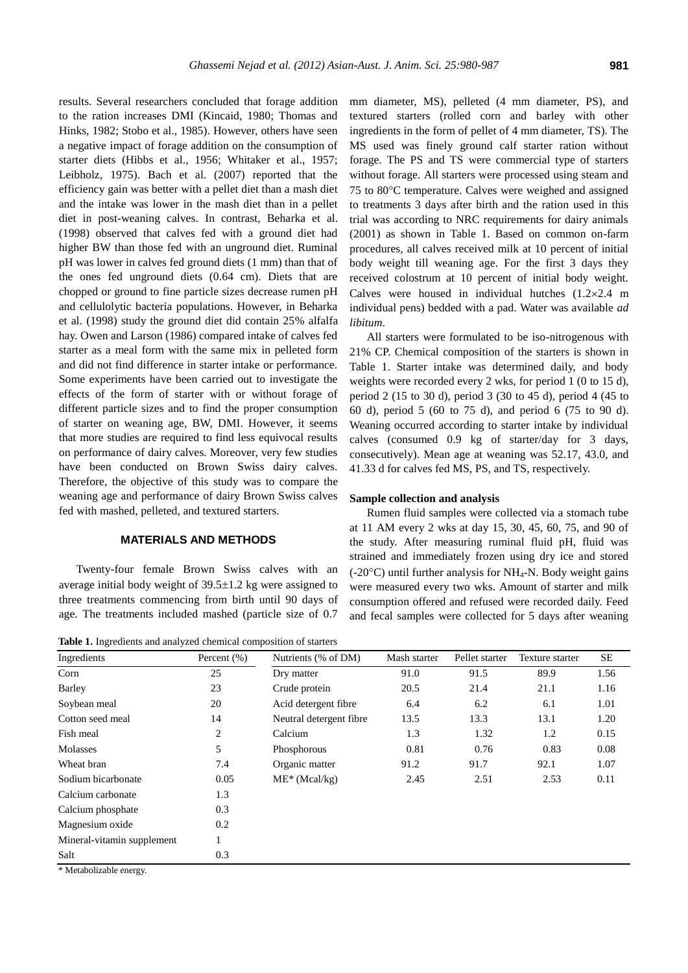results. Several researchers concluded that forage addition to the ration increases DMI (Kincaid, 1980; Thomas and Hinks, 1982; Stobo et al., 1985). However, others have seen a negative impact of forage addition on the consumption of starter diets (Hibbs et al., 1956; Whitaker et al., 1957; Leibholz, 1975). Bach et al. (2007) reported that the efficiency gain was better with a pellet diet than a mash diet and the intake was lower in the mash diet than in a pellet diet in post-weaning calves. In contrast, Beharka et al. (1998) observed that calves fed with a ground diet had higher BW than those fed with an unground diet. Ruminal pH was lower in calves fed ground diets (1 mm) than that of the ones fed unground diets (0.64 cm). Diets that are chopped or ground to fine particle sizes decrease rumen pH and cellulolytic bacteria populations. However, in Beharka et al. (1998) study the ground diet did contain 25% alfalfa hay. Owen and Larson (1986) compared intake of calves fed starter as a meal form with the same mix in pelleted form and did not find difference in starter intake or performance. Some experiments have been carried out to investigate the effects of the form of starter with or without forage of different particle sizes and to find the proper consumption of starter on weaning age, BW, DMI. However, it seems that more studies are required to find less equivocal results on performance of dairy calves. Moreover, very few studies have been conducted on Brown Swiss dairy calves. Therefore, the objective of this study was to compare the weaning age and performance of dairy Brown Swiss calves fed with mashed, pelleted, and textured starters.

## **MATERIALS AND METHODS**

Twenty-four female Brown Swiss calves with an average initial body weight of  $39.5\pm1.2$  kg were assigned to three treatments commencing from birth until 90 days of age. The treatments included mashed (particle size of 0.7

**Table 1.** Ingredients and analyzed chemical composition of starters

mm diameter, MS), pelleted (4 mm diameter, PS), and textured starters (rolled corn and barley with other ingredients in the form of pellet of 4 mm diameter, TS). The MS used was finely ground calf starter ration without forage. The PS and TS were commercial type of starters without forage. All starters were processed using steam and 75 to 80C temperature. Calves were weighed and assigned to treatments 3 days after birth and the ration used in this trial was according to NRC requirements for dairy animals (2001) as shown in Table 1. Based on common on-farm procedures, all calves received milk at 10 percent of initial body weight till weaning age. For the first 3 days they received colostrum at 10 percent of initial body weight. Calves were housed in individual hutches  $(1.2 \times 2.4$  m individual pens) bedded with a pad. Water was available *ad libitum*.

All starters were formulated to be iso-nitrogenous with 21% CP. Chemical composition of the starters is shown in Table 1. Starter intake was determined daily, and body weights were recorded every 2 wks, for period 1 (0 to 15 d), period 2 (15 to 30 d), period 3 (30 to 45 d), period 4 (45 to 60 d), period 5 (60 to 75 d), and period 6 (75 to 90 d). Weaning occurred according to starter intake by individual calves (consumed 0.9 kg of starter/day for 3 days, consecutively). Mean age at weaning was 52.17, 43.0, and 41.33 d for calves fed MS, PS, and TS, respectively.

#### **Sample collection and analysis**

Rumen fluid samples were collected via a stomach tube at 11 AM every 2 wks at day 15, 30, 45, 60, 75, and 90 of the study. After measuring ruminal fluid pH, fluid was strained and immediately frozen using dry ice and stored  $(-20^{\circ}C)$  until further analysis for NH<sub>4</sub>-N. Body weight gains were measured every two wks. Amount of starter and milk consumption offered and refused were recorded daily. Feed and fecal samples were collected for 5 days after weaning

| Ingredients                | Percent $(\%)$ | Nutrients (% of DM)     | Mash starter | Pellet starter | Texture starter | SE   |
|----------------------------|----------------|-------------------------|--------------|----------------|-----------------|------|
| Corn                       | 25             | Dry matter              | 91.0         | 91.5           | 89.9            | 1.56 |
| Barley                     | 23             | Crude protein           | 20.5         | 21.4           | 21.1            | 1.16 |
| Soybean meal               | 20             | Acid detergent fibre    | 6.4          | 6.2            | 6.1             | 1.01 |
| Cotton seed meal           | 14             | Neutral detergent fibre | 13.5         | 13.3           | 13.1            | 1.20 |
| Fish meal                  | 2              | Calcium                 | 1.3          | 1.32           | 1.2             | 0.15 |
| Molasses                   | 5              | Phosphorous             | 0.81         | 0.76           | 0.83            | 0.08 |
| Wheat bran                 | 7.4            | Organic matter          | 91.2         | 91.7           | 92.1            | 1.07 |
| Sodium bicarbonate         | 0.05           | $ME^* (Mcal/kg)$        | 2.45         | 2.51           | 2.53            | 0.11 |
| Calcium carbonate          | 1.3            |                         |              |                |                 |      |
| Calcium phosphate          | 0.3            |                         |              |                |                 |      |
| Magnesium oxide            | 0.2            |                         |              |                |                 |      |
| Mineral-vitamin supplement |                |                         |              |                |                 |      |
| Salt                       | 0.3            |                         |              |                |                 |      |

\* Metabolizable energy.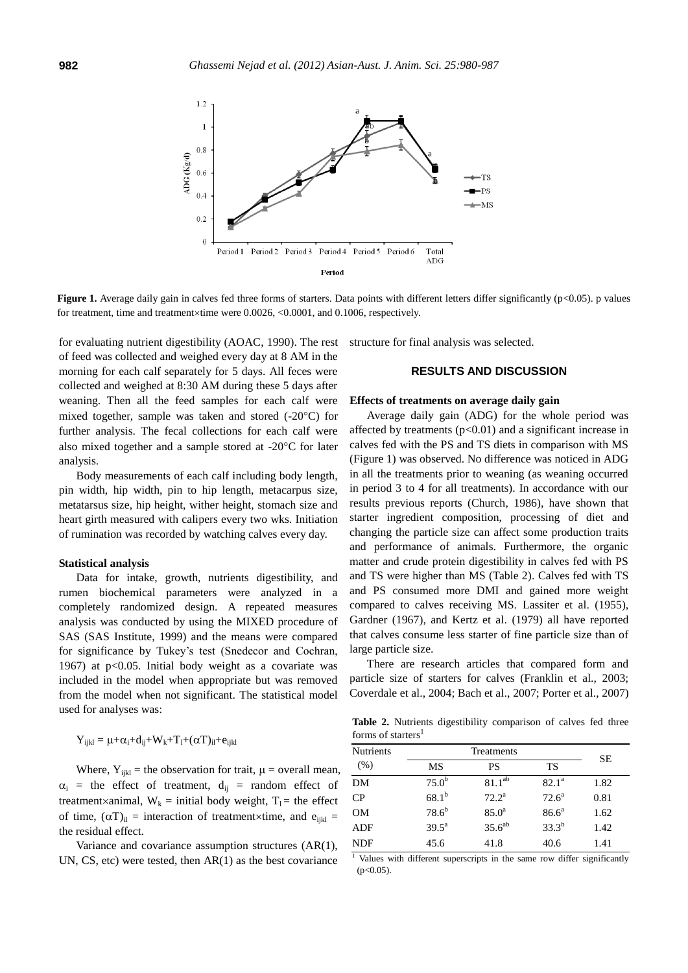

**Figure 1.** Average daily gain in calves fed three forms of starters. Data points with different letters differ significantly (p<0.05). p values for treatment, time and treatment $\times$ time were 0.0026, <0.0001, and 0.1006, respectively.

for evaluating nutrient digestibility (AOAC, 1990). The rest of feed was collected and weighed every day at 8 AM in the morning for each calf separately for 5 days. All feces were collected and weighed at 8:30 AM during these 5 days after weaning. Then all the feed samples for each calf were mixed together, sample was taken and stored  $(-20^{\circ}C)$  for further analysis. The fecal collections for each calf were also mixed together and a sample stored at -20 $^{\circ}$ C for later analysis.

Body measurements of each calf including body length, pin width, hip width, pin to hip length, metacarpus size, metatarsus size, hip height, wither height, stomach size and heart girth measured with calipers every two wks. Initiation of rumination was recorded by watching calves every day.

#### **Statistical analysis**

Data for intake, growth, nutrients digestibility, and rumen biochemical parameters were analyzed in a completely randomized design. A repeated measures analysis was conducted by using the MIXED procedure of SAS (SAS Institute, 1999) and the means were compared for significance by Tukey's test (Snedecor and Cochran, 1967) at p<0.05. Initial body weight as a covariate was included in the model when appropriate but was removed from the model when not significant. The statistical model used for analyses was:

$$
Y_{ijkl}=\mu{+}\alpha_i{+}d_{ij}{+}W_k{+}T_l{+}(\alpha T)_{il}{+}e_{ijkl}
$$

Where,  $Y_{ijkl}$  = the observation for trait,  $\mu$  = overall mean,  $\alpha_i$  = the effect of treatment,  $d_{ij}$  = random effect of treatment×animal,  $W_k$  = initial body weight,  $T_1$  = the effect of time,  $(\alpha T)_{il}$  = interaction of treatment×time, and e<sub>ijkl</sub> = the residual effect.

Variance and covariance assumption structures (AR(1), UN, CS, etc) were tested, then AR(1) as the best covariance structure for final analysis was selected.

# **RESULTS AND DISCUSSION**

## **Effects of treatments on average daily gain**

Average daily gain (ADG) for the whole period was affected by treatments  $(p<0.01)$  and a significant increase in calves fed with the PS and TS diets in comparison with MS (Figure 1) was observed. No difference was noticed in ADG in all the treatments prior to weaning (as weaning occurred in period 3 to 4 for all treatments). In accordance with our results previous reports (Church, 1986), have shown that starter ingredient composition, processing of diet and changing the particle size can affect some production traits and performance of animals. Furthermore, the organic matter and crude protein digestibility in calves fed with PS and TS were higher than MS (Table 2). Calves fed with TS and PS consumed more DMI and gained more weight compared to calves receiving MS. Lassiter et al. (1955), Gardner (1967), and Kertz et al. (1979) all have reported that calves consume less starter of fine particle size than of large particle size.

There are research articles that compared form and particle size of starters for calves (Franklin et al., 2003; Coverdale et al., 2004; Bach et al., 2007; Porter et al., 2007)

**Table 2.** Nutrients digestibility comparison of calves fed three forms of starters<sup>1</sup>

| <b>Nutrients</b> | <b>Treatments</b> |                    |                | SЕ   |
|------------------|-------------------|--------------------|----------------|------|
| (% )             | MS                | PS                 | TS             |      |
| DM               | $75.0^{\rm b}$    | $81.1^{ab}$        | $82.1^a$       | 1.82 |
| CP               | $68.1^{b}$        | $72.2^a$           | $72.6^{\circ}$ | 0.81 |
| <b>OM</b>        | $78.6^{b}$        | 85.0 <sup>a</sup>  | $86.6^a$       | 1.62 |
| <b>ADF</b>       | $39.5^{\text{a}}$ | 35.6 <sup>ab</sup> | $33.3^{b}$     | 1.42 |
| <b>NDF</b>       | 45.6              | 41.8               | 40.6           | 1.41 |

<sup>1</sup> Values with different superscripts in the same row differ significantly  $(p<0.05)$ .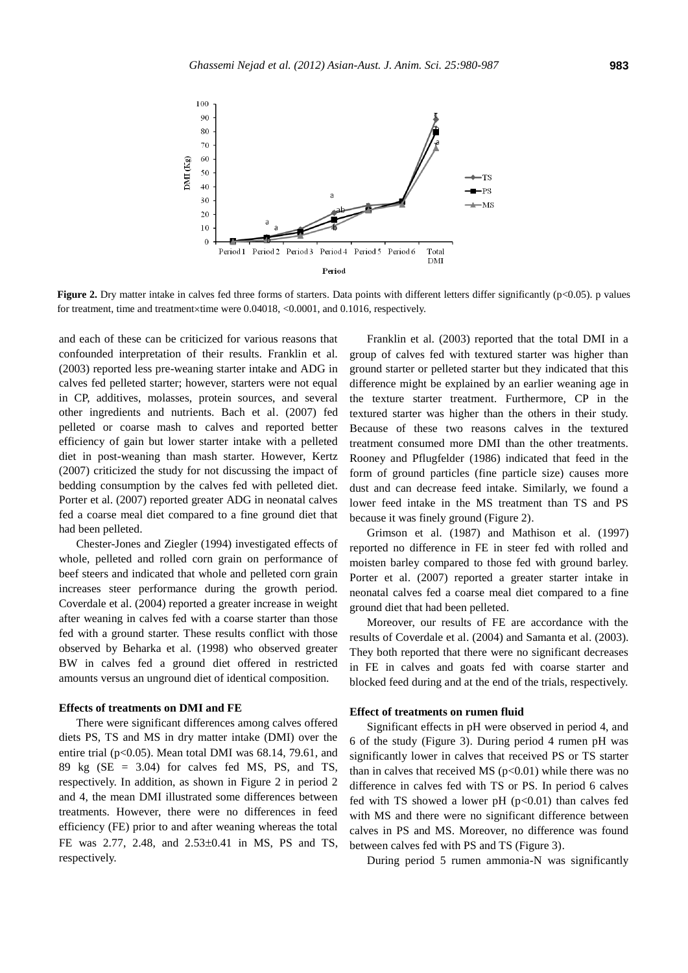

**Figure 2.** Dry matter intake in calves fed three forms of starters. Data points with different letters differ significantly ( $p<0.05$ ). p values for treatment, time and treatment×time were 0.04018, <0.0001, and 0.1016, respectively.

and each of these can be criticized for various reasons that confounded interpretation of their results. Franklin et al. (2003) reported less pre-weaning starter intake and ADG in calves fed pelleted starter; however, starters were not equal in CP, additives, molasses, protein sources, and several other ingredients and nutrients. Bach et al. (2007) fed pelleted or coarse mash to calves and reported better efficiency of gain but lower starter intake with a pelleted diet in post-weaning than mash starter. However, Kertz (2007) criticized the study for not discussing the impact of bedding consumption by the calves fed with pelleted diet. Porter et al. (2007) reported greater ADG in neonatal calves fed a coarse meal diet compared to a fine ground diet that had been pelleted.

Chester-Jones and Ziegler (1994) investigated effects of whole, pelleted and rolled corn grain on performance of beef steers and indicated that whole and pelleted corn grain increases steer performance during the growth period. Coverdale et al. (2004) reported a greater increase in weight after weaning in calves fed with a coarse starter than those fed with a ground starter. These results conflict with those observed by Beharka et al. (1998) who observed greater BW in calves fed a ground diet offered in restricted amounts versus an unground diet of identical composition.

#### **Effects of treatments on DMI and FE**

There were significant differences among calves offered diets PS, TS and MS in dry matter intake (DMI) over the entire trial ( $p<0.05$ ). Mean total DMI was 68.14, 79.61, and 89 kg (SE = 3.04) for calves fed MS, PS, and TS, respectively. In addition, as shown in Figure 2 in period 2 and 4, the mean DMI illustrated some differences between treatments. However, there were no differences in feed efficiency (FE) prior to and after weaning whereas the total FE was 2.77, 2.48, and 2.53±0.41 in MS, PS and TS, respectively.

Franklin et al. (2003) reported that the total DMI in a group of calves fed with textured starter was higher than ground starter or pelleted starter but they indicated that this difference might be explained by an earlier weaning age in the texture starter treatment. Furthermore, CP in the textured starter was higher than the others in their study. Because of these two reasons calves in the textured treatment consumed more DMI than the other treatments. Rooney and Pflugfelder (1986) indicated that feed in the form of ground particles (fine particle size) causes more dust and can decrease feed intake. Similarly, we found a lower feed intake in the MS treatment than TS and PS because it was finely ground (Figure 2).

Grimson et al. (1987) and Mathison et al. (1997) reported no difference in FE in steer fed with rolled and moisten barley compared to those fed with ground barley. Porter et al. (2007) reported a greater starter intake in neonatal calves fed a coarse meal diet compared to a fine ground diet that had been pelleted.

Moreover, our results of FE are accordance with the results of Coverdale et al. (2004) and Samanta et al. (2003). They both reported that there were no significant decreases in FE in calves and goats fed with coarse starter and blocked feed during and at the end of the trials, respectively.

# **Effect of treatments on rumen fluid**

Significant effects in pH were observed in period 4, and 6 of the study (Figure 3). During period 4 rumen pH was significantly lower in calves that received PS or TS starter than in calves that received MS ( $p<0.01$ ) while there was no difference in calves fed with TS or PS. In period 6 calves fed with TS showed a lower pH  $(p<0.01)$  than calves fed with MS and there were no significant difference between calves in PS and MS. Moreover, no difference was found between calves fed with PS and TS (Figure 3).

During period 5 rumen ammonia-N was significantly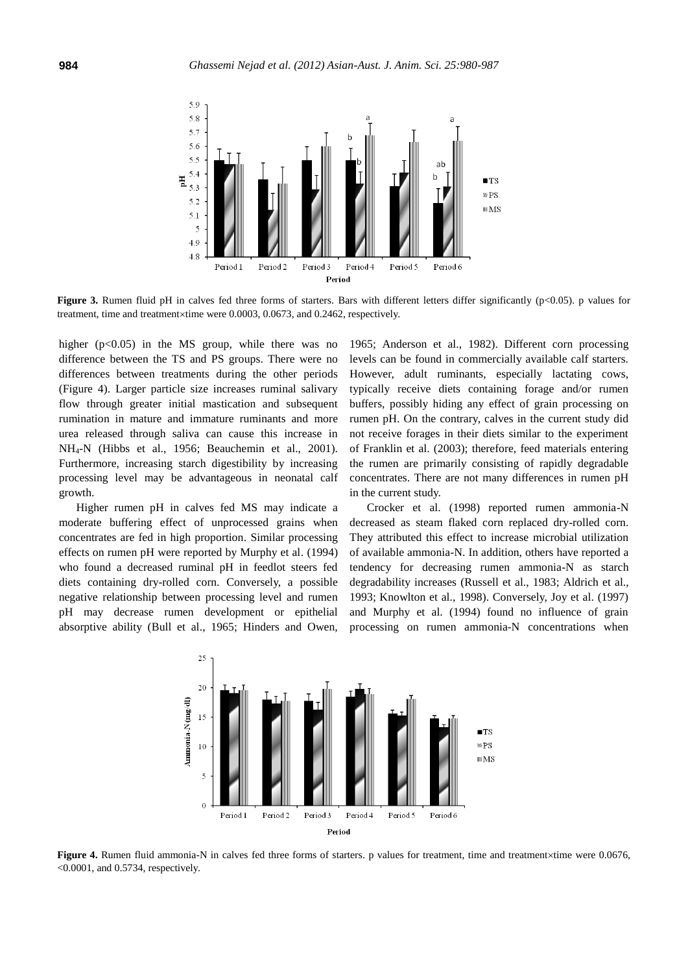

**Figure 3.** Rumen fluid pH in calves fed three forms of starters. Bars with different letters differ significantly (p<0.05). p values for treatment, time and treatment $\times$ time were 0.0003, 0.0673, and 0.2462, respectively.

higher  $(p<0.05)$  in the MS group, while there was no difference between the TS and PS groups. There were no differences between treatments during the other periods (Figure 4). Larger particle size increases ruminal salivary flow through greater initial mastication and subsequent rumination in mature and immature ruminants and more urea released through saliva can cause this increase in NH4-N (Hibbs et al., 1956; Beauchemin et al., 2001). Furthermore, increasing starch digestibility by increasing processing level may be advantageous in neonatal calf growth.

Higher rumen pH in calves fed MS may indicate a moderate buffering effect of unprocessed grains when concentrates are fed in high proportion. Similar processing effects on rumen pH were reported by Murphy et al. (1994) who found a decreased ruminal pH in feedlot steers fed diets containing dry-rolled corn. Conversely, a possible negative relationship between processing level and rumen pH may decrease rumen development or epithelial absorptive ability (Bull et al., 1965; Hinders and Owen,

1965; Anderson et al., 1982). Different corn processing levels can be found in commercially available calf starters. However, adult ruminants, especially lactating cows, typically receive diets containing forage and/or rumen buffers, possibly hiding any effect of grain processing on rumen pH. On the contrary, calves in the current study did not receive forages in their diets similar to the experiment of Franklin et al. (2003); therefore, feed materials entering the rumen are primarily consisting of rapidly degradable concentrates. There are not many differences in rumen pH in the current study.

Crocker et al. (1998) reported rumen ammonia-N decreased as steam flaked corn replaced dry-rolled corn. They attributed this effect to increase microbial utilization of available ammonia-N. In addition, others have reported a tendency for decreasing rumen ammonia-N as starch degradability increases (Russell et al., 1983; Aldrich et al., 1993; Knowlton et al., 1998). Conversely, Joy et al. (1997) and Murphy et al. (1994) found no influence of grain processing on rumen ammonia-N concentrations when



**Figure 4.** Rumen fluid ammonia-N in calves fed three forms of starters. p values for treatment, time and treatment×time were 0.0676, <0.0001, and 0.5734, respectively.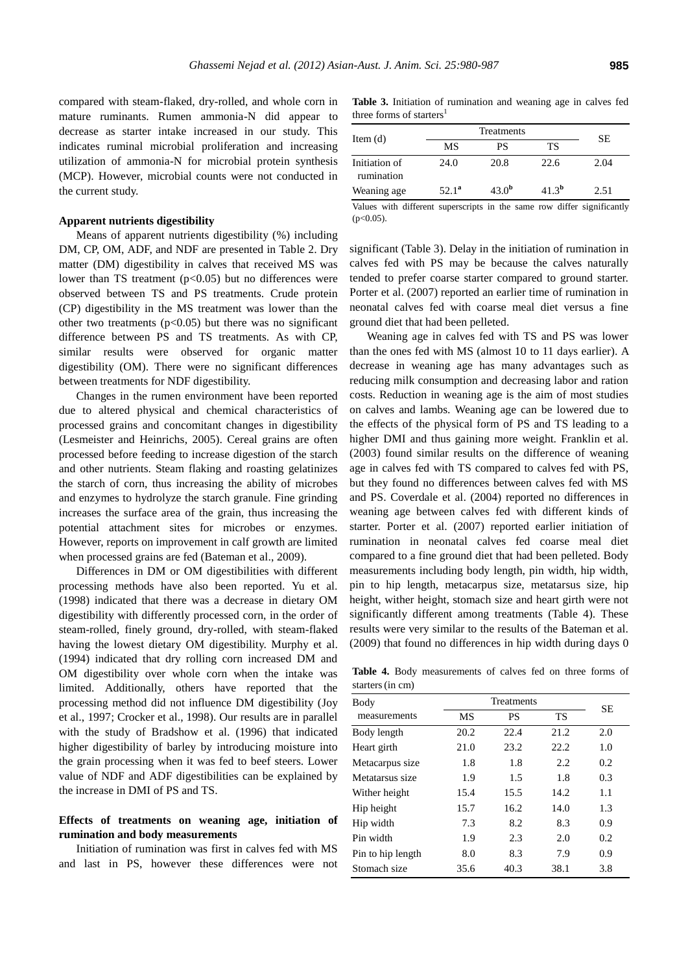compared with steam-flaked, dry-rolled, and whole corn in mature ruminants. Rumen ammonia-N did appear to decrease as starter intake increased in our study. This indicates ruminal microbial proliferation and increasing utilization of ammonia-N for microbial protein synthesis (MCP). However, microbial counts were not conducted in the current study.

## **Apparent nutrients digestibility**

Means of apparent nutrients digestibility (%) including DM, CP, OM, ADF, and NDF are presented in Table 2. Dry matter (DM) digestibility in calves that received MS was lower than TS treatment  $(p<0.05)$  but no differences were observed between TS and PS treatments. Crude protein (CP) digestibility in the MS treatment was lower than the other two treatments  $(p<0.05)$  but there was no significant difference between PS and TS treatments. As with CP, similar results were observed for organic matter digestibility (OM). There were no significant differences between treatments for NDF digestibility.

Changes in the rumen environment have been reported due to altered physical and chemical characteristics of processed grains and concomitant changes in digestibility (Lesmeister and Heinrichs, 2005). Cereal grains are often processed before feeding to increase digestion of the starch and other nutrients. Steam flaking and roasting gelatinizes the starch of corn, thus increasing the ability of microbes and enzymes to hydrolyze the starch granule. Fine grinding increases the surface area of the grain, thus increasing the potential attachment sites for microbes or enzymes. However, reports on improvement in calf growth are limited when processed grains are fed (Bateman et al., 2009).

Differences in DM or OM digestibilities with different processing methods have also been reported. Yu et al. (1998) indicated that there was a decrease in dietary OM digestibility with differently processed corn, in the order of steam-rolled, finely ground, dry-rolled, with steam-flaked having the lowest dietary OM digestibility. Murphy et al. (1994) indicated that dry rolling corn increased DM and OM digestibility over whole corn when the intake was limited. Additionally, others have reported that the processing method did not influence DM digestibility (Joy et al., 1997; Crocker et al., 1998). Our results are in parallel with the study of Bradshow et al. (1996) that indicated higher digestibility of barley by introducing moisture into the grain processing when it was fed to beef steers. Lower value of NDF and ADF digestibilities can be explained by the increase in DMI of PS and TS.

# **Effects of treatments on weaning age, initiation of rumination and body measurements**

Initiation of rumination was first in calves fed with MS and last in PS, however these differences were not

**Table 3.** Initiation of rumination and weaning age in calves fed three forms of starters<sup>1</sup>

| Item $(d)$                  |                | SЕ         |            |      |  |
|-----------------------------|----------------|------------|------------|------|--|
|                             | MS             | PS         | TS         |      |  |
| Initiation of<br>rumination | 24.0           | 20.8       | 22.6       | 2.04 |  |
| Weaning age                 | $52.1^{\rm a}$ | $43.0^{b}$ | $41.3^{b}$ | 2.51 |  |

Values with different superscripts in the same row differ significantly  $(n<0.05)$ .

significant (Table 3). Delay in the initiation of rumination in calves fed with PS may be because the calves naturally tended to prefer coarse starter compared to ground starter. Porter et al. (2007) reported an earlier time of rumination in neonatal calves fed with coarse meal diet versus a fine ground diet that had been pelleted.

Weaning age in calves fed with TS and PS was lower than the ones fed with MS (almost 10 to 11 days earlier). A decrease in weaning age has many advantages such as reducing milk consumption and decreasing labor and ration costs. Reduction in weaning age is the aim of most studies on calves and lambs. Weaning age can be lowered due to the effects of the physical form of PS and TS leading to a higher DMI and thus gaining more weight. Franklin et al. (2003) found similar results on the difference of weaning age in calves fed with TS compared to calves fed with PS, but they found no differences between calves fed with MS and PS. Coverdale et al. (2004) reported no differences in weaning age between calves fed with different kinds of starter. Porter et al. (2007) reported earlier initiation of rumination in neonatal calves fed coarse meal diet compared to a fine ground diet that had been pelleted. Body measurements including body length, pin width, hip width, pin to hip length, metacarpus size, metatarsus size, hip height, wither height, stomach size and heart girth were not significantly different among treatments (Table 4). These results were very similar to the results of the Bateman et al. (2009) that found no differences in hip width during days 0

**Table 4.** Body measurements of calves fed on three forms of starters(in cm)

| Body              | <b>Treatments</b> |      |      | SE  |
|-------------------|-------------------|------|------|-----|
| measurements      | МS                | PS   | TS   |     |
| Body length       | 20.2              | 22.4 | 21.2 | 2.0 |
| Heart girth       | 21.0              | 23.2 | 22.2 | 1.0 |
| Metacarpus size   | 1.8               | 1.8  | 2.2  | 0.2 |
| Metatarsus size   | 1.9               | 1.5  | 1.8  | 0.3 |
| Wither height     | 15.4              | 15.5 | 14.2 | 1.1 |
| Hip height        | 15.7              | 16.2 | 14.0 | 1.3 |
| Hip width         | 7.3               | 8.2  | 8.3  | 0.9 |
| Pin width         | 1.9               | 2.3  | 2.0  | 0.2 |
| Pin to hip length | 8.0               | 8.3  | 7.9  | 0.9 |
| Stomach size      | 35.6              | 40.3 | 38.1 | 3.8 |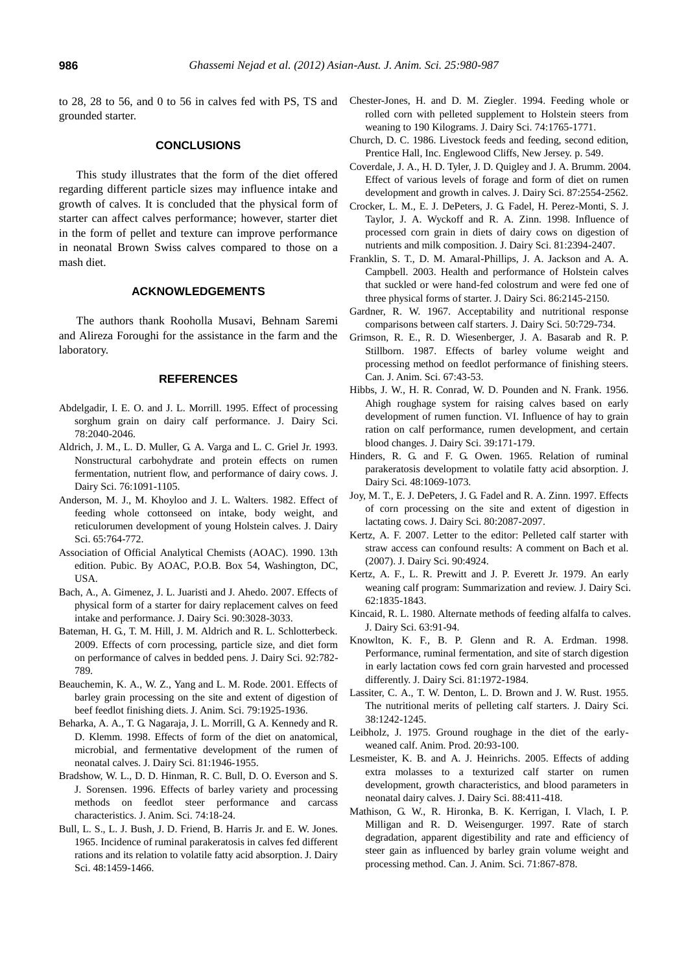to 28, 28 to 56, and 0 to 56 in calves fed with PS, TS and grounded starter.

## **CONCLUSIONS**

This study illustrates that the form of the diet offered regarding different particle sizes may influence intake and growth of calves. It is concluded that the physical form of starter can affect calves performance; however, starter diet in the form of pellet and texture can improve performance in neonatal Brown Swiss calves compared to those on a mash diet.

#### **ACKNOWLEDGEMENTS**

The authors thank Rooholla Musavi, Behnam Saremi and Alireza Foroughi for the assistance in the farm and the laboratory.

## **REFERENCES**

- Abdelgadir, I. E. O. and J. L. Morrill. 1995. Effect of processing sorghum grain on dairy calf performance. J. Dairy Sci. 78:2040-2046.
- Aldrich, J. M., L. D. Muller, G. A. Varga and L. C. Griel Jr. 1993. Nonstructural carbohydrate and protein effects on rumen fermentation, nutrient flow, and performance of dairy cows. J. Dairy Sci. 76:1091-1105.
- Anderson, M. J., M. Khoyloo and J. L. Walters. 1982. Effect of feeding whole cottonseed on intake, body weight, and reticulorumen development of young Holstein calves. J. Dairy Sci. 65:764-772.
- Association of Official Analytical Chemists (AOAC). 1990. 13th edition. Pubic. By AOAC, P.O.B. Box 54, Washington, DC, USA.
- Bach, A., A. Gimenez, J. L. Juaristi and J. Ahedo. 2007. Effects of physical form of a starter for dairy replacement calves on feed intake and performance. J. Dairy Sci. 90:3028-3033.
- Bateman, H. G., T. M. Hill, J. M. Aldrich and R. L. Schlotterbeck. 2009. Effects of corn processing, particle size, and diet form on performance of calves in bedded pens. J. Dairy Sci. 92:782- 789.
- Beauchemin, K. A., W. Z., Yang and L. M. Rode. 2001. Effects of barley grain processing on the site and extent of digestion of beef feedlot finishing diets. J. Anim. Sci. 79:1925-1936.
- Beharka, A. A., T. G. Nagaraja, J. L. Morrill, G. A. Kennedy and R. D. Klemm. 1998. Effects of form of the diet on anatomical, microbial, and fermentative development of the rumen of neonatal calves. J. Dairy Sci. 81:1946-1955.
- Bradshow, W. L., D. D. Hinman, R. C. Bull, D. O. Everson and S. J. Sorensen. 1996. Effects of barley variety and processing methods on feedlot steer performance and carcass characteristics. J. Anim. Sci. 74:18-24.
- Bull, L. S., L. J. Bush, J. D. Friend, B. Harris Jr. and E. W. Jones. 1965. Incidence of ruminal parakeratosis in calves fed different rations and its relation to volatile fatty acid absorption. J. Dairy Sci. 48:1459-1466.
- Chester-Jones, H. and D. M. Ziegler. 1994. Feeding whole or rolled corn with pelleted supplement to Holstein steers from weaning to 190 Kilograms. J. Dairy Sci. 74:1765-1771.
- Church, D. C. 1986. Livestock feeds and feeding, second edition, Prentice Hall, Inc. Englewood Cliffs, New Jersey. p. 549.
- Coverdale, J. A., H. D. Tyler, J. D. Quigley and J. A. Brumm. 2004. Effect of various levels of forage and form of diet on rumen development and growth in calves. J. Dairy Sci. 87:2554-2562.
- Crocker, L. M., E. J. DePeters, J. G. Fadel, H. Perez-Monti, S. J. Taylor, J. A. Wyckoff and R. A. Zinn. 1998. Influence of processed corn grain in diets of dairy cows on digestion of nutrients and milk composition. J. Dairy Sci. 81:2394-2407.
- Franklin, S. T., D. M. Amaral-Phillips, J. A. Jackson and A. A. Campbell. 2003. Health and performance of Holstein calves that suckled or were hand-fed colostrum and were fed one of three physical forms of starter. J. Dairy Sci. 86:2145-2150.
- Gardner, R. W. 1967. Acceptability and nutritional response comparisons between calf starters. J. Dairy Sci. 50:729-734.
- Grimson, R. E., R. D. Wiesenberger, J. A. Basarab and R. P. Stillborn. 1987. Effects of barley volume weight and processing method on feedlot performance of finishing steers. Can. J. Anim. Sci. 67:43-53.
- Hibbs, J. W., H. R. Conrad, W. D. Pounden and N. Frank. 1956. Ahigh roughage system for raising calves based on early development of rumen function. VI. Influence of hay to grain ration on calf performance, rumen development, and certain blood changes. J. Dairy Sci. 39:171-179.
- Hinders, R. G. and F. G. Owen. 1965. Relation of ruminal parakeratosis development to volatile fatty acid absorption. J. Dairy Sci. 48:1069-1073.
- Joy, M. T., E. J. DePeters, J. G. Fadel and R. A. Zinn. 1997. Effects of corn processing on the site and extent of digestion in lactating cows. J. Dairy Sci. 80:2087-2097.
- Kertz, A. F. 2007. Letter to the editor: Pelleted calf starter with straw access can confound results: A comment on Bach et al. (2007). J. Dairy Sci. 90:4924.
- Kertz, A. F., L. R. Prewitt and J. P. Everett Jr. 1979. An early weaning calf program: Summarization and review. J. Dairy Sci. 62:1835-1843.
- Kincaid, R. L. 1980. Alternate methods of feeding alfalfa to calves. J. Dairy Sci. 63:91-94.
- Knowlton, K. F., B. P. Glenn and R. A. Erdman. 1998. Performance, ruminal fermentation, and site of starch digestion in early lactation cows fed corn grain harvested and processed differently. J. Dairy Sci. 81:1972-1984.
- Lassiter, C. A., T. W. Denton, L. D. Brown and J. W. Rust. 1955. The nutritional merits of pelleting calf starters. J. Dairy Sci. 38:1242-1245.
- Leibholz, J. 1975. Ground roughage in the diet of the earlyweaned calf. Anim. Prod. 20:93-100.
- Lesmeister, K. B. and A. J. Heinrichs. 2005. Effects of adding extra molasses to a texturized calf starter on rumen development, growth characteristics, and blood parameters in neonatal dairy calves. J. Dairy Sci. 88:411-418.
- Mathison, G. W., R. Hironka, B. K. Kerrigan, I. Vlach, I. P. Milligan and R. D. Weisengurger. 1997. Rate of starch degradation, apparent digestibility and rate and efficiency of steer gain as influenced by barley grain volume weight and processing method. Can. J. Anim. Sci. 71:867-878.